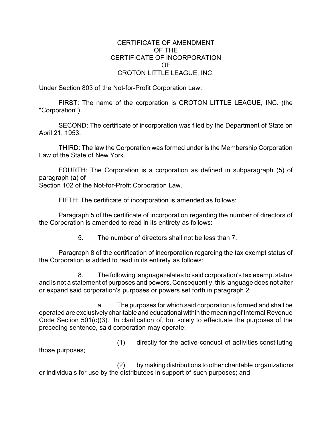## CERTIFICATE OF AMENDMENT OF THE CERTIFICATE OF INCORPORATION OF CROTON LITTLE LEAGUE, INC.

Under Section 803 of the Not-for-Profit Corporation Law:

FIRST: The name of the corporation is CROTON LITTLE LEAGUE, INC. (the "Corporation").

SECOND: The certificate of incorporation was filed by the Department of State on April 21, 1953.

THIRD: The law the Corporation was formed under is the Membership Corporation Law of the State of New York.

FOURTH: The Corporation is a corporation as defined in subparagraph (5) of paragraph (a) of

Section 102 of the Not-for-Profit Corporation Law.

FIFTH: The certificate of incorporation is amended as follows:

Paragraph 5 of the certificate of incorporation regarding the number of directors of the Corporation is amended to read in its entirety as follows:

5. The number of directors shall not be less than 7.

Paragraph 8 of the certification of incorporation regarding the tax exempt status of the Corporation is added to read in its entirety as follows:

8. The following language relates to said corporation's tax exempt status and is not a statement of purposes and powers. Consequently, this language does not alter or expand said corporation's purposes or powers set forth in paragraph 2:

a. The purposes for which said corporation is formed and shall be operated are exclusively charitable and educationalwithin the meaning of Internal Revenue Code Section 501(c)(3). In clarification of, but solely to effectuate the purposes of the preceding sentence, said corporation may operate:

those purposes;

(1) directly for the active conduct of activities constituting

(2) by making distributions to other charitable organizations or individuals for use by the distributees in support of such purposes; and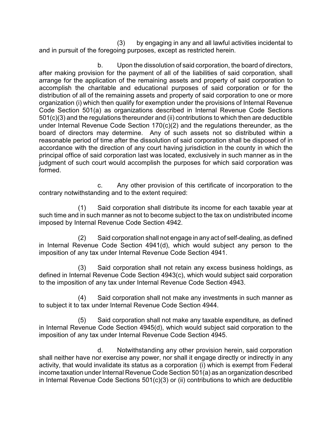(3) by engaging in any and all lawful activities incidental to and in pursuit of the foregoing purposes, except as restricted herein.

b. Upon the dissolution of said corporation, the board of directors, after making provision for the payment of all of the liabilities of said corporation, shall arrange for the application of the remaining assets and property of said corporation to accomplish the charitable and educational purposes of said corporation or for the distribution of all of the remaining assets and property of said corporation to one or more organization (i) which then qualify for exemption under the provisions of Internal Revenue Code Section 501(a) as organizations described in Internal Revenue Code Sections 501(c)(3) and the regulations thereunder and (ii) contributions to which then are deductible under Internal Revenue Code Section 170(c)(2) and the regulations thereunder, as the board of directors may determine. Any of such assets not so distributed within a reasonable period of time after the dissolution of said corporation shall be disposed of in accordance with the direction of any court having jurisdiction in the county in which the principal office of said corporation last was located, exclusively in such manner as in the judgment of such court would accomplish the purposes for which said corporation was formed.

c. Any other provision of this certificate of incorporation to the contrary notwithstanding and to the extent required:

(1) Said corporation shall distribute its income for each taxable year at such time and in such manner as not to become subject to the tax on undistributed income imposed by Internal Revenue Code Section 4942.

(2) Said corporation shall not engage in any act of self-dealing, as defined in Internal Revenue Code Section 4941(d), which would subject any person to the imposition of any tax under Internal Revenue Code Section 4941.

(3) Said corporation shall not retain any excess business holdings, as defined in Internal Revenue Code Section 4943(c), which would subject said corporation to the imposition of any tax under Internal Revenue Code Section 4943.

(4) Said corporation shall not make any investments in such manner as to subject it to tax under Internal Revenue Code Section 4944.

(5) Said corporation shall not make any taxable expenditure, as defined in Internal Revenue Code Section 4945(d), which would subject said corporation to the imposition of any tax under Internal Revenue Code Section 4945.

d. Notwithstanding any other provision herein, said corporation shall neither have nor exercise any power, nor shall it engage directly or indirectly in any activity, that would invalidate its status as a corporation (i) which is exempt from Federal income taxation under Internal Revenue Code Section 501(a) as an organization described in Internal Revenue Code Sections 501(c)(3) or (ii) contributions to which are deductible